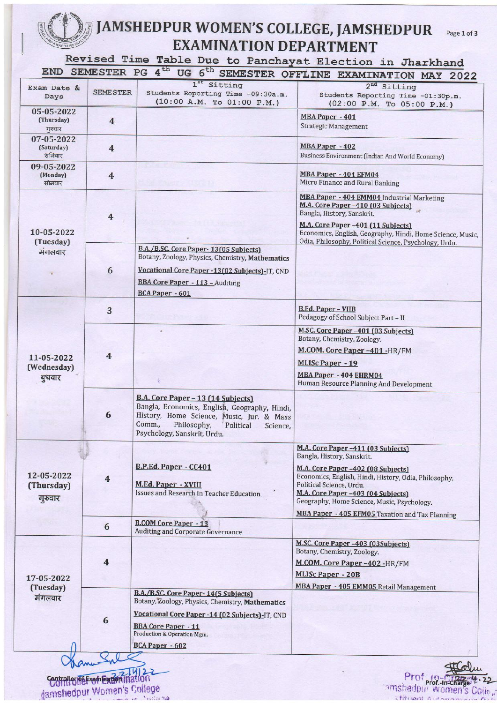## JAMSHEDPUR WOMEN'S COLLEGE, JAMSHEDPUR Page 1 of 3 **EXAMINATION DEPARTMENT**

Revised Time Table Due to Panchayat Election in Jharkhand

| Exam Date &<br>Days                 | <b>SEMESTER</b>                 | 1 <sup>st</sup> Sitting<br>Students Reporting Time -09:30a.m.<br>(10:00 A.M. To 01:00 P.M.)                                                                                                                       | SEMESTER OFFLINE EXAMINATION MAY 2022<br>2 <sup>nd</sup> Sitting<br>Students Reporting Time -01:30p.m.<br>$(02:00 \text{ P.M.} \text{To } 05:00 \text{ P.M.})$                                                                                                                                                                      |
|-------------------------------------|---------------------------------|-------------------------------------------------------------------------------------------------------------------------------------------------------------------------------------------------------------------|-------------------------------------------------------------------------------------------------------------------------------------------------------------------------------------------------------------------------------------------------------------------------------------------------------------------------------------|
| 05-05-2022<br>(Thursday)<br>गुरुवार | $\overline{4}$                  |                                                                                                                                                                                                                   | <b>MBA Paper - 401</b><br><b>Strategic Management</b>                                                                                                                                                                                                                                                                               |
| 07-05-2022<br>(Saturday)<br>शनिवार  | $\overline{4}$                  |                                                                                                                                                                                                                   | MBA Paper - 402<br>Business Environment (Indian And World Economy)                                                                                                                                                                                                                                                                  |
| 09-05-2022<br>(Monday)<br>सोमवार    | $\overline{4}$                  |                                                                                                                                                                                                                   | MBA Paper - 404 EFM04<br>Micro Finance and Rural Banking                                                                                                                                                                                                                                                                            |
| 10-05-2022<br>(Tuesday)<br>मंगलवार  | $\overline{4}$                  |                                                                                                                                                                                                                   | MBA Paper - 404 EMM04 Industrial Marketing<br>M.A. Core Paper -410 (03 Subjects)<br>Bangla, History, Sanskrit.<br>M.A. Core Paper-401 (11 Subjects)<br>Economics, English, Geography, Hindi, Home Science, Music,                                                                                                                   |
|                                     | 6                               | B.A./B.SC. Core Paper-13(05 Subjects)<br>Botany, Zoology, Physics, Chemistry, Mathematics<br>Vocational Core Paper - 13 (02 Subjects) - IT, CND                                                                   | Odia, Philosophy, Political Science, Psychology, Urdu.                                                                                                                                                                                                                                                                              |
|                                     |                                 | <b>BBA Core Paper - 113 - Auditing</b><br><b>BCA Paper - 601</b>                                                                                                                                                  |                                                                                                                                                                                                                                                                                                                                     |
| 11-05-2022<br>(Wednesday)<br>बुधवार | 3                               |                                                                                                                                                                                                                   | <b>B.Ed. Paper - VIIB</b><br>Pedagogy of School Subject Part - II                                                                                                                                                                                                                                                                   |
|                                     | $\overline{4}$                  |                                                                                                                                                                                                                   | M.SC. Core Paper -401 (03 Subjects)<br>Botany, Chemistry, Zoology.<br>M.COM. Core Paper -401 -HR/FM<br><b>MLISc Paper - 19</b><br><b>MBA Paper - 404 EHRM04</b><br>Human Resource Planning And Development                                                                                                                          |
|                                     | 6                               | B.A. Core Paper - 13 (14 Subjects)<br>Bangla, Economics, English, Geography, Hindi,<br>History, Home Science, Music, Jur. & Mass<br>Comm.,<br>Philosophy,<br>Political<br>Science,<br>Psychology, Sanskrit, Urdu. |                                                                                                                                                                                                                                                                                                                                     |
| 12-05-2022<br>(Thursday)<br>गुरुवार | $\overline{\mathbf{4}}$         | B.P.Ed. Paper - CC401<br>M.Ed. Paper - XVIII<br>Issues and Research in Teacher Education                                                                                                                          | M.A. Core Paper -411 (03 Subjects)<br>Bangla, History, Sanskrit.<br>M.A. Core Paper -402 (08 Subjects)<br>Economics, English, Hindi, History, Odia, Philosophy,<br>Political Science, Urdu.<br>M.A. Core Paper -403 (04 Subjects)<br>Geography, Home Science, Music, Psychology.<br>MBA Paper - 405 EFM05 Taxation and Tax Planning |
|                                     | 6                               | <b>B.COM Core Paper - 13</b><br><b>Auditing and Corporate Governance</b>                                                                                                                                          |                                                                                                                                                                                                                                                                                                                                     |
| 17-05-2022<br>(Tuesday)<br>मंगलवार  | $\overline{\mathbf{4}}$         |                                                                                                                                                                                                                   | M.SC. Core Paper -403 (03Subjects)<br>Botany, Chemistry, Zoology.<br>M.COM. Core Paper -402 -HR/FM<br><b>MLISc Paper - 20B</b>                                                                                                                                                                                                      |
|                                     | 6                               | B.A./B.SC. Core Paper-14(5 Subjects)<br>Botany, Zoology, Physics, Chemistry, Mathematics<br>Vocational Core Paper -14 (02 Subjects)-IT, CND<br><b>BBA Core Paper - 11</b><br>Production & Operation Mgm.          | MBA Paper - 405 EMM05 Retail Management                                                                                                                                                                                                                                                                                             |
|                                     |                                 | <b>BCA Paper - 602</b>                                                                                                                                                                                            |                                                                                                                                                                                                                                                                                                                                     |
| damshedpur Women's College          | Controllegio Frem Externination |                                                                                                                                                                                                                   |                                                                                                                                                                                                                                                                                                                                     |

damshedpur Women's College and College and College and College and College and College and College and College and College and College and College and College and College and College and College and College and College and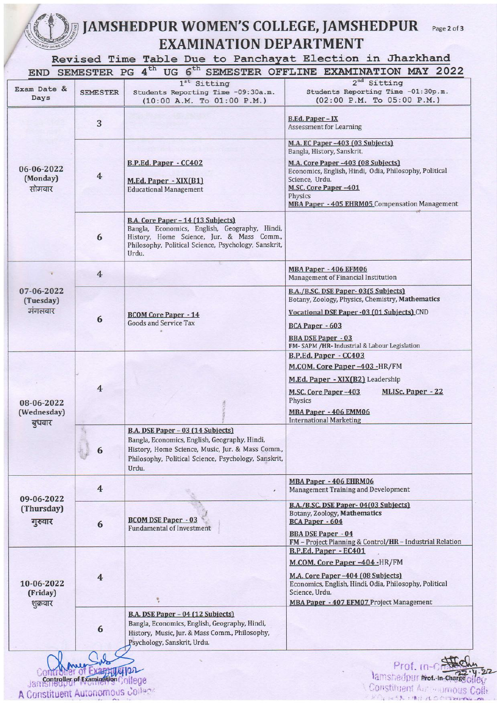## ,"d.4\ JAMSHEDPUR WOMEN'S COLLEGE, JAMSHEDPUR Page 2 of 3<br>EXAMINATION DEPARTMENT

Revised Time Table Due to Panchayat Election in Jharkhand

| END SEMESTER PG 4 <sup>th</sup><br>UG 6 <sup>th</sup><br>SEMESTER OFFLINE EXAMINATION MAY 2022 |                         |                                                                                                                                                                                                         |                                                                                                                                                                                                                      |  |  |
|------------------------------------------------------------------------------------------------|-------------------------|---------------------------------------------------------------------------------------------------------------------------------------------------------------------------------------------------------|----------------------------------------------------------------------------------------------------------------------------------------------------------------------------------------------------------------------|--|--|
| Exam Date &<br>Days                                                                            | <b>SEME STER</b>        | $1st$ Sitting<br>Students Reporting Time -09:30a.m.<br>(10:00 A.M. To 01:00 P.M.)                                                                                                                       | 2 <sup>nd</sup> Sitting<br>Students Reporting Time -01:30p.m.<br>$(02:00 \text{ P.M.} \text{To } 05:00 \text{ P.M.})$                                                                                                |  |  |
| 06-06-2022<br>(Monday)<br>सोमवार                                                               | 3                       |                                                                                                                                                                                                         | <b>B.Ed. Paper - IX</b><br><b>Assessment for Learning</b>                                                                                                                                                            |  |  |
|                                                                                                |                         |                                                                                                                                                                                                         | M.A. EC Paper -403 (03 Subjects)<br>Bangla, History, Sanskrit.                                                                                                                                                       |  |  |
|                                                                                                | $\overline{4}$          | B.P.Ed. Paper - CC402<br>M.Ed. Paper - XIX(B1)<br><b>Educational Management</b>                                                                                                                         | M.A. Core Paper -403 (08 Subjects)<br>Economics, English, Hindi, Odia, Philosophy, Political<br>Science, Urdu.<br><b>M.SC. Core Paper-401</b><br>Physics<br>MBA Paper - 405 EHRM05 Compensation Management           |  |  |
|                                                                                                | 6                       | B.A. Core Paper - 14 (13 Subjects)<br>Bangla, Economics, English, Geography, Hindi,<br>History, Home Science, Jur. & Mass Comm.,<br>Philosophy, Political Science, Psychology, Sanskrit,<br>Urdu.       |                                                                                                                                                                                                                      |  |  |
| 07-06-2022<br>(Tuesday)<br>मंगलवार                                                             | $\overline{4}$          |                                                                                                                                                                                                         | MBA Paper - 406 EFM06<br>Management of Financial Institution                                                                                                                                                         |  |  |
|                                                                                                |                         |                                                                                                                                                                                                         | B.A./B.SC. DSE Paper-03(5 Subjects)<br>Botany, Zoology, Physics, Chemistry, Mathematics                                                                                                                              |  |  |
|                                                                                                | 6                       | <b>BCOM Core Paper - 14</b><br><b>Goods and Service Tax</b>                                                                                                                                             | Vocational DSE Paper - 03 (01 Subjects) CND<br>BCA Paper - 603<br><b>BBA DSE Paper - 03</b><br>FM-SAPM /HR- Industrial & Labour Legislation                                                                          |  |  |
| 08-06-2022<br>(Wednesday)<br>बुधवार                                                            | 4                       |                                                                                                                                                                                                         | B.P.Ed. Paper - CC403<br>M.COM. Core Paper -403 -HR/FM<br>M.Ed. Paper - XIX(B2) Leadership<br>M.SC. Core Paper-403<br><b>MLISc. Paper - 22</b><br>Physics<br>MBA Paper - 406 EMM06<br><b>International Marketing</b> |  |  |
|                                                                                                | 6                       | B.A. DSE Paper - 03 (14 Subjects)<br>Bangla, Economics, English, Geography, Hindi,<br>History, Home Science, Music, Jur. & Mass Comm.,<br>Philosophy, Political Science, Psychology, Sanskrit,<br>Urdu. |                                                                                                                                                                                                                      |  |  |
| 09-06-2022<br>(Thursday)<br>गुरुवार                                                            | $\overline{4}$          |                                                                                                                                                                                                         | MBA Paper - 406 EHRM06<br>Management Training and Development                                                                                                                                                        |  |  |
|                                                                                                | 6                       | <b>BCOM DSE Paper - 03</b><br><b>Fundamental of Investment</b>                                                                                                                                          | B.A./B.SC. DSE Paper-04(03 Subjects)<br>Botany, Zoology, Mathematics<br><b>BCA Paper - 604</b><br><b>BBA DSE Paper - 04</b>                                                                                          |  |  |
|                                                                                                |                         |                                                                                                                                                                                                         | FM - Project Planning & Control/HR - Industrial Relation<br>B.P.Ed. Paper - EC401                                                                                                                                    |  |  |
| 10-06-2022<br>(Friday)<br>शुक्रवार                                                             | $\overline{\mathbf{4}}$ |                                                                                                                                                                                                         | M.COM. Core Paper -404 -HR/FM<br>M.A. Core Paper -404 (08 Subjects)<br>Economics, English, Hindi, Odia, Philosophy, Political<br>Science, Urdu.<br>MBA Paper - 407 EFM07 Project Management                          |  |  |
|                                                                                                | 6                       | B.A. DSE Paper - 04 (12 Subjects)<br>Bangla, Economics, English, Geography, Hindi,<br>History, Music, Jur. & Mass Comm., Philosophy,<br>Psychology, Sanskrit, Urdu.                                     |                                                                                                                                                                                                                      |  |  |
|                                                                                                |                         |                                                                                                                                                                                                         | Prof. In-                                                                                                                                                                                                            |  |  |

i::: t <sup>J</sup> Mrl\$\*'es:tT ffiffiffic jirii]i A Constituent Autonomous College

 $\mathbb{Z}/\mathbb{Z}$ 

lamshedpur Not. In-Charge offer " !. : :k ), Constituent Autonous Colle